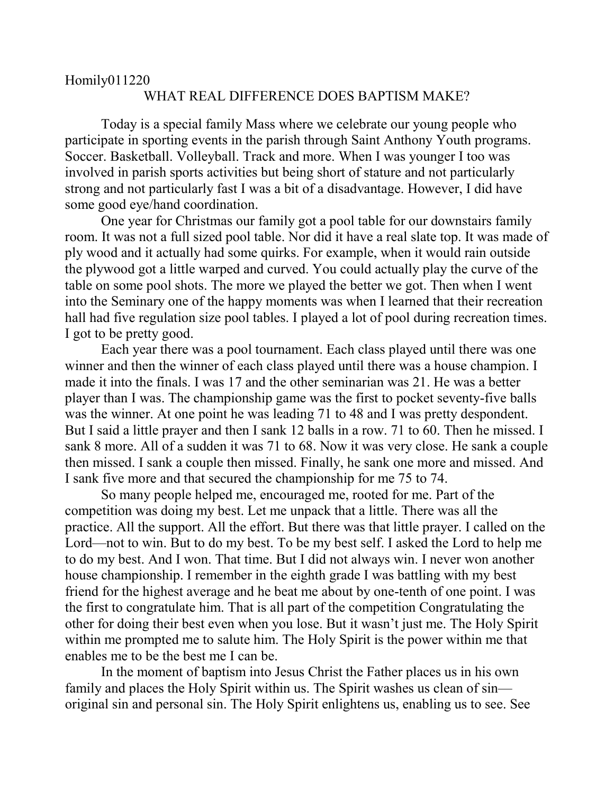## Homily011220 WHAT REAL DIFFERENCE DOES BAPTISM MAKE?

Today is a special family Mass where we celebrate our young people who participate in sporting events in the parish through Saint Anthony Youth programs. Soccer. Basketball. Volleyball. Track and more. When I was younger I too was involved in parish sports activities but being short of stature and not particularly strong and not particularly fast I was a bit of a disadvantage. However, I did have some good eye/hand coordination.

One year for Christmas our family got a pool table for our downstairs family room. It was not a full sized pool table. Nor did it have a real slate top. It was made of ply wood and it actually had some quirks. For example, when it would rain outside the plywood got a little warped and curved. You could actually play the curve of the table on some pool shots. The more we played the better we got. Then when I went into the Seminary one of the happy moments was when I learned that their recreation hall had five regulation size pool tables. I played a lot of pool during recreation times. I got to be pretty good.

Each year there was a pool tournament. Each class played until there was one winner and then the winner of each class played until there was a house champion. I made it into the finals. I was 17 and the other seminarian was 21. He was a better player than I was. The championship game was the first to pocket seventy-five balls was the winner. At one point he was leading 71 to 48 and I was pretty despondent. But I said a little prayer and then I sank 12 balls in a row. 71 to 60. Then he missed. I sank 8 more. All of a sudden it was 71 to 68. Now it was very close. He sank a couple then missed. I sank a couple then missed. Finally, he sank one more and missed. And I sank five more and that secured the championship for me 75 to 74.

So many people helped me, encouraged me, rooted for me. Part of the competition was doing my best. Let me unpack that a little. There was all the practice. All the support. All the effort. But there was that little prayer. I called on the Lord—not to win. But to do my best. To be my best self. I asked the Lord to help me to do my best. And I won. That time. But I did not always win. I never won another house championship. I remember in the eighth grade I was battling with my best friend for the highest average and he beat me about by one-tenth of one point. I was the first to congratulate him. That is all part of the competition Congratulating the other for doing their best even when you lose. But it wasn't just me. The Holy Spirit within me prompted me to salute him. The Holy Spirit is the power within me that enables me to be the best me I can be.

In the moment of baptism into Jesus Christ the Father places us in his own family and places the Holy Spirit within us. The Spirit washes us clean of sin original sin and personal sin. The Holy Spirit enlightens us, enabling us to see. See